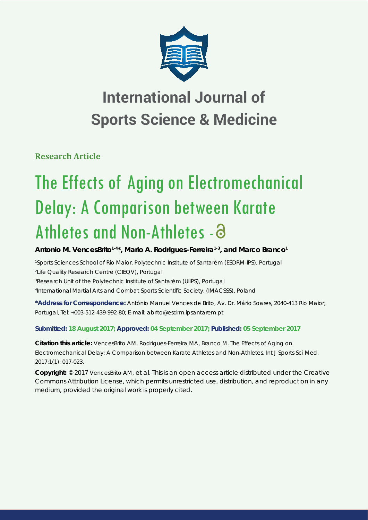

# **International Journal of Sports Science & Medicine**

**Research Article**

# The Effects of Aging on Electromechanical Delay: A Comparison between Karate Athletes and Non-Athletes - 3

Antonio M. VencesBrito<sup>1-4\*</sup>, Mario A. Rodrigues-Ferreira<sup>1-3</sup>, and Marco Branco<sup>1</sup>

 *Sports Sciences School of Rio Maior, Polytechnic Institute of Santarém (ESDRM-IPS), Portugal Life Quality Research Centre (CIEQV), Portugal Research Unit of the Polytechnic Institute of Santarém (UIIPS), Portugal International Martial Arts and Combat Sports Scientifi c Society, (IMACSSS), Poland*

**\*Address for Correspondence:** António Manuel Vences de Brito, Av. Dr. Mário Soares, 2040-413 Rio Maior, Portugal, Tel: +003-512-439-992-80; E-mail: abrito@esdrm.ipsantarem.pt

**Submitted: 18 August 2017; Approved: 04 September 2017; Published: 05 September 2017**

**Citation this article:** VencesBrito AM, Rodrigues-Ferreira MA, Branco M. The Effects of Aging on Electromechanical Delay: A Comparison between Karate Athletes and Non-Athletes. Int J Sports Sci Med. 2017;1(1): 017-023.

**Copyright:** © 2017 VencesBrito AM, et al. This is an open access article distributed under the Creative Commons Attribution License, which permits unrestricted use, distribution, and reproduction in any medium, provided the original work is properly cited.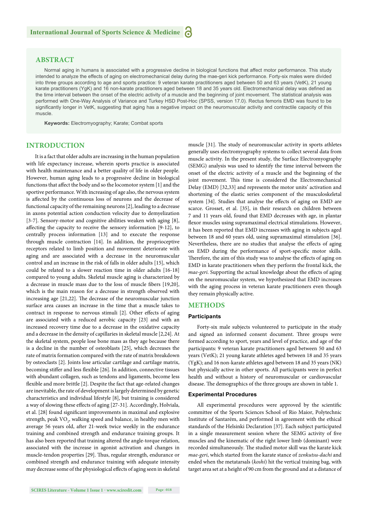# **ABSTRACT**

Normal aging in humans is associated with a progressive decline in biological functions that affect motor performance. This study intended to analyze the effects of aging on electromechanical delay during the mae-geri kick performance. Forty-six males were divided into three groups according to age and sports practice: 9 veteran karate practitioners aged between 50 and 63 years (VetK), 21 young karate practitioners (YgK) and 16 non-karate practitioners aged between 18 and 35 years old. Electromechanical delay was defined as the time interval between the onset of the electric activity of a muscle and the beginning of joint movement. The statistical analysis was performed with One-Way Analysis of Variance and Turkey HSD Post-Hoc (SPSS, version 17.0). Rectus femoris EMD was found to be significantly longer in VetK, suggesting that aging has a negative impact on the neuromuscular activity and contractile capacity of this muscle.

**Keywords:** Electromyography; Karate; Combat sports

# **INTRODUCTION**

It is a fact that older adults are increasing in the human population with life expectancy increase, wherein sports practice is associated with health maintenance and a better quality of life in older people. However, human aging leads to a progressive decline in biological functions that affect the body and so the locomotor system [1] and the sportive performance. With increasing of age also, the nervous system is affected by the continuous loss of neurons and the decrease of functional capacity of the remaining neurons [2], leading to a decrease in axons potential action conduction velocity due to demyelization [3-7]. Sensory-motor and cognitive abilities weaken with aging [8], affecting the capacity to receive the sensory information [9-12], to centrally process information [13] and to execute the response through muscle contraction [14]. In addition, the proprioceptive receptors related to limb position and movement deteriorate with aging and are associated with a decrease in the neuromuscular control and an increase in the risk of falls in older adults [15], which could be related to a slower reaction time in older adults [16-18] compared to young adults. Skeletal muscle aging is characterized by a decrease in muscle mass due to the loss of muscle fibers [19,20], which is the main reason for a decrease in strength observed with increasing age [21,22]. The decrease of the neuromuscular junction surface area causes an increase in the time that a muscle takes to contract in response to nervous stimuli [2]. Other effects of aging are associated with a reduced aerobic capacity [23] and with an increased recovery time due to a decrease in the oxidative capacity and a decrease in the density of capillaries in skeletal muscle [2,24]. At the skeletal system, people lose bone mass as they age because there is a decline in the number of osteoblasts [25], which decreases the rate of matrix formation compared with the rate of matrix breakdown by osteoclasts [2]. Joints lose articular cartilage and cartilage matrix, becoming stiffer and less flexible [26]. In addition, connective tissues with abundant collagen, such as tendons and ligaments, become less flexible and more brittle [2]. Despite the fact that age-related changes are inevitable, the rate of development is largely determined by genetic characteristics and individual lifestyle [8], but training is considered a way of slowing these effects of aging [27-31]. Accordingly, Holviala, et al. [28] found significant improvements in maximal and explosive strength, peak  $\rm VO_{2}$ , walking speed and balance, in healthy men with average 56 years old, after 21-week twice weekly in the endurance training and combined strength and endurance training groups. It has also been reported that training altered the angle-torque relation, associated with the increase in agonist activation and changes in muscle-tendon properties [29]. Thus, regular strength, endurance or combined strength and endurance training with adequate intensity may decrease some of the physiological effects of aging seen in skeletal

muscle [31]. The study of neuromuscular activity in sports athletes generally uses electromyography systems to collect several data from muscle activity. In the present study, the Surface Electromyography (SEMG) analysis was used to identify the time interval between the onset of the electric activity of a muscle and the beginning of the joint movement. This time is considered the Electromechanical Delay (EMD) [32,33] and represents the motor units' activation and shortening of the elastic series component of the musculoskeletal system [34]. Studies that analyse the effects of aging on EMD are scarce. Grosset, et al. [35], in their research on children between 7 and 11 years old, found that EMD decreases with age, in plantar flexor muscles using supramaximal electrical stimulations. However, it has been reported that EMD increases with aging in subjects aged between 18 and 60 years old, using supramaximal stimulation [36]. Nevertheless, there are no studies that analyse the effects of aging on EMD during the performance of sport-specific motor skills. Therefore, the aim of this study was to analyse the effects of aging on EMD in karate practitioners when they perform the frontal kick, the *mae-geri*. Supporting the actual knowledge about the effects of aging on the neuromuscular system, we hypothesized that EMD increases with the aging process in veteran karate practitioners even though they remain physically active.

# **METHODS**

### **Participants**

Forty-six male subjects volunteered to participate in the study and signed an informed consent document. Three groups were formed according to sport, years and level of practice, and age of the participants: 9 veteran karate practitioners aged between 50 and 63 years (VetK); 21 young karate athletes aged between 18 and 35 years (YgK); and 16 non-karate athletes aged between 18 and 35 years (NK) but physically active in other sports. All participants were in perfect health and without a history of neuromuscular or cardiovascular disease. The demographics of the three groups are shown in table 1.

#### **Experimental Procedures**

All experimental procedures were approved by the scientific committee of the Sports Sciences School of Rio Maior, Polytechnic Institute of Santarém, and performed in agreement with the ethical standards of the Helsinki Declaration [37]. Each subject participated in a single measurement session where the SEMG activity of five muscles and the kinematic of the right lower limb (dominant) were recorded simultaneously. The studied motor skill was the karate kick *mae-geri*, which started from the karate stance of *zenkutsu-dachi* and ended when the metatarsals (*koshi*) hit the vertical training bag, with target area set at a height of 90 cm from the ground and at a distance of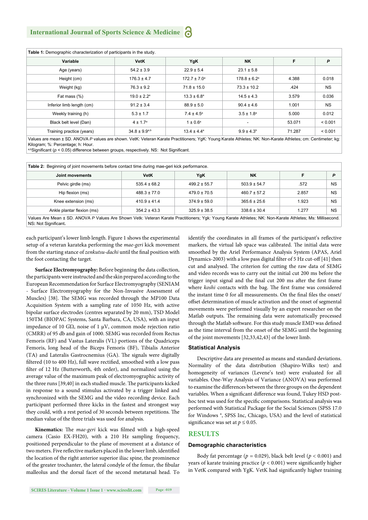| Table 1: Demographic characterization of participants in the study. |                             |                              |                              |        |           |  |  |
|---------------------------------------------------------------------|-----------------------------|------------------------------|------------------------------|--------|-----------|--|--|
| Variable                                                            | <b>VetK</b>                 | YgK                          | <b>NK</b>                    | F      | P         |  |  |
| Age (years)                                                         | $54.2 \pm 3.9$              | $22.9 \pm 5.4$               | $23.1 \pm 5.8$               |        |           |  |  |
| Height (cm)                                                         | $176.3 \pm 4.7$             | $172.7 \pm 7.0$ <sup>a</sup> | $178.8 \pm 6.2$ <sup>a</sup> | 4.388  | 0.018     |  |  |
| Weight (kg)                                                         | $76.3 \pm 9.2$              | $71.8 \pm 15.0$              | $73.3 \pm 10.2$              | .424   | <b>NS</b> |  |  |
| Fat mass (%)                                                        | $19.0 \pm 2.2$ <sup>a</sup> | $13.3 \pm 6.8^{\circ}$       | $14.5 \pm 4.3$               | 3.579  | 0.036     |  |  |
| Inferior limb length (cm)                                           | $91.2 \pm 3.4$              | $88.9 \pm 5.0$               | $90.4 \pm 4.6$               | 1.001  | <b>NS</b> |  |  |
| Weekly training (h)                                                 | $5.3 \pm 1.7$               | $7.4 \pm 4.5^{\circ}$        | $3.5 \pm 1.8^a$              | 5.000  | 0.012     |  |  |
| Black belt level (Dan)                                              | $4 \pm 1.7^{\circ}$         | $1 \pm 0.6^{\circ}$          | $\overline{\phantom{a}}$     | 53.071 | < 0.001   |  |  |
| Training practice (years)                                           | $34.8 \pm 9.9^{a,b}$        | $13.4 \pm 4.4^a$             | $9.9 \pm 4.3^b$              | 71.287 | < 0.001   |  |  |

Values are mean ± SD. ANOVA P values are shown. VetK: Veteran Karate Practitioners; YgK: Young Karate Athletes; NK: Non-Karate Athletes; cm: Centimeter; kg Kilogram; %: Percentage; h: Hour.

a,bSignificant ( $p < 0.05$ ) difference between groups, respectively. NS: Not Significant.

| Joint movements            | <b>VetK</b>      | YgK              | <b>NK</b>        | F     | D         |
|----------------------------|------------------|------------------|------------------|-------|-----------|
| Pelvic girdle (ms)         | $535.4 \pm 68.2$ | $499.2 \pm 55.7$ | $503.9 \pm 54.7$ | .572  | <b>NS</b> |
| Hip flexion (ms)           | $488.3 \pm 77.0$ | $479.0 \pm 70.5$ | $460.7 \pm 57.2$ | 2.857 | <b>NS</b> |
| Knee extension (ms)        | $410.9 \pm 41.4$ | $374.9 \pm 59.0$ | $365.6 \pm 25.6$ | 1.923 | <b>NS</b> |
| Ankle plantar flexion (ms) | $354.2 \pm 43.3$ | $325.9 \pm 38.5$ | $338.6 \pm 30.4$ | 1.277 | <b>NS</b> |

each participant's lower limb length. Figure 1 shows the experimental setup of a veteran karateka performing the *mae-geri* kick movement from the starting stance of *zenkutsu-dachi* until the final position with the foot contacting the target.

**Surface Electromyography:** Before beginning the data collection, the participants were instructed and the skin prepared according to the European Recommendation for Surface Electromyography (SENIAM - Surface Electromyography for the Non-Invasive Assessment of Muscles) [38]. The SEMG was recorded through the MP100 Data Acquisition System with a sampling rate of 1050 Hz, with active bipolar surface electrodes (centres separated by 20 mm), TSD Model 150TM (BIOPAC Systems, Santa Barbara, CA, USA), with an input impedance of 10 GΏ, noise of 1 μV, common mode rejection ratio (CMRR) of 95 db and gain of 1000. SEMG was recorded from Rectus Femoris (RF) and Vastus Lateralis (VL) portions of the Quadriceps Femoris, long head of the Biceps Femoris (BF), Tibialis Anterior (TA) and Lateralis Gastrocnemius (GA). The signals were digitally filtered (10 to 400 Hz), full wave rectified, smoothed with a low pass filter of 12 Hz (Butterworth, 4th order), and normalized using the average value of the maximum peak of electromyographic activity of the three runs [39,40] in each studied muscle. The participants kicked in response to a sound stimulus activated by a trigger linked and synchronized with the SEMG and the video recording device. Each participant performed three kicks in the fastest and strongest way they could, with a rest period of 30 seconds between repetitions. The median value of the three trials was used for analysis.

Kinematics: The *mae-geri* kick was filmed with a high-speed camera (Casio EX-FH20), with a 210 Hz sampling frequency, positioned perpendicular to the plane of movement at a distance of two meters. Five reflective markers placed in the lower limb, identified the location of the right anterior superior iliac spine, the prominence of the greater trochanter, the lateral condyle of the femur, the fibular malleolus and the dorsal facet of the second metatarsal head. To identify the coordinates in all frames of the participant's reflective markers, the virtual lab space was calibrated. The initial data were smoothed by the Ariel Performance Analysis System (APAS, Ariel Dynamics-2003) with a low pass digital filter of 5 Hz cut-off [41] then cut and analysed. The criterion for cutting the raw data of SEMG and video records was to carry out the initial cut 200 ms before the trigger input signal and the final cut 200 ms after the first frame where *koshi* contacts with the bag. The first frame was considered the instant time 0 for all measurements. On the final files the onset/ offset determination of muscle activation and the onset of segmental movements were performed visually by an expert researcher on the Matlab outputs. The remaining data were automatically processed through the Matlab software. For this study muscle EMD was defined as the time interval from the onset of the SEMG until the beginning of the joint movements [32,33,42,43] of the lower limb.

#### **Statistical Analysis**

Descriptive data are presented as means and standard deviations. Normality of the data distribution (Shapiro-Wilks test) and homogeneity of variances (Levene's test) were evaluated for all variables. One-Way Analysis of Variance (ANOVA) was performed to examine the differences between the three groups on the dependent variables. When a significant difference was found, Tukey HSD posthoc test was used for the specific comparisons. Statistical analysis was performed with Statistical Package for the Social Sciences (SPSS 17.0 for Windows ®, SPSS Inc, Chicago, USA) and the level of statistical significance was set at  $p \le 0.05$ .

# **RESULTS**

#### **Demographic characteristics**

Body fat percentage ( $p = 0.029$ ), black belt level ( $p < 0.001$ ) and years of karate training practice ( $p < 0.001$ ) were significantly higher in VetK compared with YgK. VetK had significantly higher training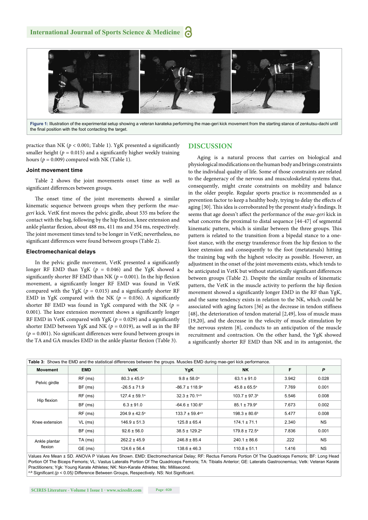

**Figure 1:** Illustration of the experimental setup showing a veteran karateka performing the mae-geri kick movement from the starting stance of zenkutsu-dachi until the final position with the foot contacting the target.

practice than NK ( $p < 0.001$ ; Table 1). YgK presented a significantly smaller height ( $p = 0.015$ ) and a significantly higher weekly training hours ( $p = 0.009$ ) compared with NK (Table 1).

#### **Joint movement time**

Table 2 shows the joint movements onset time as well as significant differences between groups.

The onset time of the joint movements showed a similar kinematic sequence between groups when they perform the *mae*geri kick. VetK first moves the pelvic girdle, about 535 ms before the contact with the bag, following by the hip flexion, knee extension and ankle plantar flexion, about 488 ms, 411 ms and 354 ms, respectively. The joint movement times tend to be longer in VetK; nevertheless, no significant differences were found between groups (Table 2).

#### **Electromechanical delays**

In the pelvic girdle movement, VetK presented a significantly longer RF EMD than YgK ( $p = 0.046$ ) and the YgK showed a significantly shorter BF EMD than NK ( $p = 0.001$ ). In the hip flexion movement, a significantly longer RF EMD was found in VetK compared with the YgK ( $p = 0.015$ ) and a significantly shorter RF EMD in YgK compared with the NK ( $p = 0.036$ ). A significantly shorter BF EMD was found in YgK compared with the NK ( $p =$  $0.001$ ). The knee extension movement shows a significantly longer RF EMD in VetK compared with YgK ( $p = 0.029$ ) and a significantly shorter EMD between YgK and NK ( $p = 0.019$ ), as well as in the BF ( $p = 0.001$ ). No significant differences were found between groups in the TA and GA muscles EMD in the ankle plantar flexion (Table 3).

# **DISCUSSION**

Aging is a natural process that carries on biological and physiological modifications on the human body and brings constraints to the individual quality of life. Some of those constraints are related to the degeneracy of the nervous and musculoskeletal systems that, consequently, might create constraints on mobility and balance in the older people. Regular sports practice is recommended as a prevention factor to keep a healthy body, trying to delay the effects of aging [30]. This idea is corroborated by the present study's findings. It seems that age doesn't affect the performance of the *mae-geri* kick in what concerns the proximal to distal sequence [44-47] of segmental kinematic pattern, which is similar between the three groups. This pattern is related to the transition from a bipedal stance to a onefoot stance, with the energy transference from the hip flexion to the knee extension and consequently to the foot (metatarsals) hitting the training bag with the highest velocity as possible. However, an adjustment in the onset of the joint movements exists, which tends to be anticipated in VetK but without statistically significant differences between groups (Table 2). Despite the similar results of kinematic pattern, the VetK in the muscle activity to perform the hip flexion movement showed a significantly longer EMD in the RF than YgK, and the same tendency exists in relation to the NK, which could be associated with aging factors [36] as the decrease in tendon stiffness [48], the deterioration of tendon material [2,49], loss of muscle mass [19,20], and the decrease in the velocity of muscle stimulation by the nervous system [8], conducts to an anticipation of the muscle recruitment and contraction. On the other hand, the YgK showed a significantly shorter RF EMD than NK and in its antagonist, the

| Table 3: Shows the EMD and the statistical differences between the groups. Muscles EMD during mae-geri kick performance. |            |                          |                               |                               |       |           |  |
|--------------------------------------------------------------------------------------------------------------------------|------------|--------------------------|-------------------------------|-------------------------------|-------|-----------|--|
| <b>Movement</b>                                                                                                          | <b>EMD</b> | <b>VetK</b>              | YgK                           | <b>NK</b>                     | F     | P         |  |
| Pelvic girdle                                                                                                            | RF (ms)    | $80.3 \pm 45.5^{\circ}$  | $9.8 \pm 58.0^{\circ}$        | $63.1 \pm 91.0$               | 3.942 | 0.028     |  |
|                                                                                                                          | BF (ms)    | $-26.5 \pm 71.9$         | $-86.7 \pm 118.9^{\circ}$     | $45.8 \pm 65.5^{\circ}$       | 7.769 | 0.001     |  |
| Hip flexion                                                                                                              | RF (ms)    | $127.4 \pm 59.1^a$       | $32.3 \pm 70.1^{a,b}$         | $103.7 \pm 97.3$ <sup>b</sup> | 5.546 | 0.008     |  |
|                                                                                                                          | BF (ms)    | $6.3 \pm 91.0$           | $-64.6 \pm 130.6^a$           | $85.1 \pm 79.9^{\circ}$       | 7.673 | 0.002     |  |
| Knee extension                                                                                                           | RF (ms)    | $204.9 \pm 42.5^{\circ}$ | $133.7 \pm 59.4^{a,b}$        | $198.3 \pm 80.6^b$            | 5.477 | 0.008     |  |
|                                                                                                                          | $VL$ (ms)  | $146.9 \pm 51.3$         | $125.8 \pm 65.4$              | $174.1 \pm 71.1$              | 2.340 | <b>NS</b> |  |
|                                                                                                                          | BF (ms)    | $92.6 \pm 56.0$          | $38.5 \pm 129.2$ <sup>a</sup> | $179.8 \pm 72.5^{\circ}$      | 7.836 | 0.001     |  |
| Ankle plantar<br>flexion                                                                                                 | TA (ms)    | $262.2 \pm 45.9$         | $246.8 \pm 85.4$              | $240.1 \pm 86.6$              | .222  | <b>NS</b> |  |
|                                                                                                                          | GE (ms)    | $124.6 \pm 56.4$         | $138.6 \pm 46.3$              | $110.8 \pm 51.1$              | 1.416 | <b>NS</b> |  |

Values Are Mean ± SD. ANOVA P Values Are Shown. EMD: Electromechanical Delay; RF: Rectus Femoris Portion Of The Quadriceps Femoris; BF: Long Head Portion Of The Biceps Femoris; VL: Vastus Lateralis Portion Of The Quadriceps Femoris; TA: Tibialis Anterior; GE: Lateralis Gastrocnemius; Vetk: Veteran Karate Practitioners; Ygk: Young Karate Athletes; NK: Non-Karate Athletes; Ms: Millisecond.<br><sup>A,B</sup> Significant *(p <* 0.05*)* Difference Between Groups, Respectively. NS: Not Significant.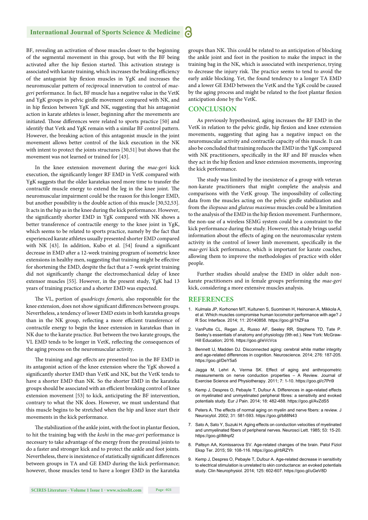# **International Journal of Sports Science & Medicine**

BF, revealing an activation of those muscles closer to the beginning of the segmental movement in this group, but with the BF being activated after the hip flexion started. This activation strategy is associated with karate training, which increases the braking efficiency of the antagonist hip flexion muscles in YgK and increases the neuromuscular pattern of reciprocal innervation to control of *maegeri* performance. In fact, BF muscle has a negative value in the VetK and YgK groups in pelvic girdle movement compared with NK, and in hip flexion between YgK and NK, suggesting that his antagonist action in karate athletes is lesser, beginning after the movements are initiated. Those differences were related to sports practice [50] and identify that Vetk and YgK remain with a similar BF control pattern. However, the breaking action of this antagonist muscle in the joint movement allows better control of the kick execution in the NK with intent to protect the joints structures [30,51] but shows that the movement was not learned or trained for [43].

In the knee extension movement during the *mae-geri* kick execution, the significantly longer RF EMD in VetK compared with YgK suggests that the older karatekas need more time to transfer the contractile muscle energy to extend the leg in the knee joint. The neuromuscular impairment could be the reason for this longer EMD, but another possibility is the double action of this muscle [30,52,53]. It acts in the hip as in the knee during the kick performance. However, the significantly shorter EMD in YgK compared with NK shows a better transference of contractile energy to the knee joint in YgK, which seems to be related to sports practice, namely by the fact that experienced karate athletes usually presented shorter EMD compared with NK [43]. In addition, Kubo et al. [54] found a significant decrease in EMD after a 12-week training program of isometric knee extensions in healthy men, suggesting that training might be effective for shortening the EMD, despite the fact that a 7-week sprint training did not significantly change the electromechanical delay of knee extensor muscles [55]. However, in the present study, YgK had 13 years of training practice and a shorter EMD was expected.

The VL, portion of *quadriceps femoris*, also responsible for the knee extension, does not show significant differences between groups. Nevertheless, a tendency of lower EMD exists in both karateka groups than in the NK group, reflecting a more efficient transference of contractile energy to begin the knee extension in karatekas than in NK due to the karate practice. But between the two karate groups, the VL EMD tends to be longer in VetK, reflecting the consequences of the aging process on the neuromuscular activity.

The training and age effects are presented too in the BF EMD in its antagonist action of the knee extension where the YgK showed a significantly shorter EMD than VetK and NK, but the VetK tends to have a shorter EMD than NK. So the shorter EMD in the karateka groups should be associated with an efficient breaking control of knee extension movement [53] to kick, anticipating the BF intervention, contrary to what the NK does. However, we must understand that this muscle begins to be stretched when the hip and knee start their movements in the kick performance.

The stabilization of the ankle joint, with the foot in plantar flexion, to hit the training bag with the *koshi* in the *mae-geri* performance is necessary to take advantage of the energy from the proximal joints to do a faster and stronger kick and to protect the ankle and foot joints. Nevertheless, there is inexistence of statistically significant differences between groups in TA and GE EMD during the kick performance; however, those muscles tend to have a longer EMD in the karateka groups than NK. This could be related to an anticipation of blocking the ankle joint and foot in the position to make the impact in the training bag in the NK, which is associated with inexperience, trying to decrease the injury risk. The practice seems to tend to avoid the early ankle blocking. Yet, the found tendency to a longer TA EMD and a lower GE EMD between the VetK and the YgK could be caused by the aging process and might be related to the foot plantar flexion anticipation done by the VetK.

# **CONCLUSION**

As previously hypothesized, aging increases the RF EMD in the VetK in relation to the pelvic girdle, hip flexion and knee extension movements, suggesting that aging has a negative impact on the neuromuscular activity and contractile capacity of this muscle. It can also be concluded that training reduces the EMD in the YgK compared with NK practitioners, specifically in the RF and BF muscles when they act in the hip flexion and knee extension movements, improving the kick performance.

The study was limited by the inexistence of a group with veteran non-karate practitioners that might complete the analysis and comparisons with the VetK group. The impossibility of collecting data from the muscles acting on the pelvic girdle stabilization and from the *iliopsoas* and *gluteus maximus* muscles could be a limitation to the analysis of the EMD in the hip flexion movement. Furthermore, the non-use of a wireless SEMG system could be a constraint to the kick performance during the study. However, this study brings useful information about the effects of aging on the neuromuscular system activity in the control of lower limb movement, specifically in the *mae-geri* kick performance, which is important for karate coaches, allowing them to improve the methodologies of practice with older people.

Further studies should analyse the EMD in older adult nonkarate practitioners and in female groups performing the *mae-geri* kick, considering a more extensive muscles analysis.

#### **REFERENCES**

- 1. Kulmala JP, Korhonen MT, Kuitunen S, Suominen H, Heinonen A, Mikkola A, et al. Which muscles compromise human locomotor performance with age? J R Soc Interface. 2014; 11: 20140858. https://goo.gl/1hZFsa
- 2. VanPutte CL, Regan JL, Russo AF, Seeley RR, Stephens TD, Tate P. Seeley's essentials of anatomy and physiology (9th ed.). New York: McGraw-Hill Education; 2016. https://goo.gl/eVcVcs
- 3. Bennett IJ, Madden DJ. Disconnected aging: cerebral white matter integrity and age-related differences in cognition. Neuroscience. 2014; 276: 187-205. https://goo.gl/DeY5a5
- 4. Jagga M, Lehri A, Verma SK. Effect of aging and anthropometric measurements on nerve conduction properties – A Review. Journal of Exercise Science and Physiotherapy. 2011; 7: 1-10. https://goo.gl/c7Pri9
- 5. Kemp J, Despres O, Pebayle T, Dufour A. Differences in age-related effects on myelinated and unmyelinated peripheral fibres: a sensitivity and evoked potentials study. Eur J Pain. 2014; 18: 482-488. https://goo.gl/AvZdS5
- 6. Peters A. The effects of normal aging on myelin and nerve fibers: a review. J Neurocytol. 2002; 31: 581-593. https://goo.gl/b88N43
- 7. Sato A, Sato Y, Suzuki H. Aging effects on conduction velocities of myelinated and unmyelinated fibers of peripheral nerves. Neurosci Lett. 1985; 53: 15-20. https://goo.gl/iMnpf2
- 8. Paltsyn AA, Komissarova SV. Age-related changes of the brain. Patol Fiziol Eksp Ter. 2015; 59: 108-116. https://goo.gl/rbRZYh
- 9. Kemp J, Despres O, Pebayle T, Dufour A. Age-related decrease in sensitivity to electrical stimulation is unrelated to skin conductance: an evoked potentials study. Clin Neurophysiol. 2014; 125: 602-607. https://goo.gl/uGeV8D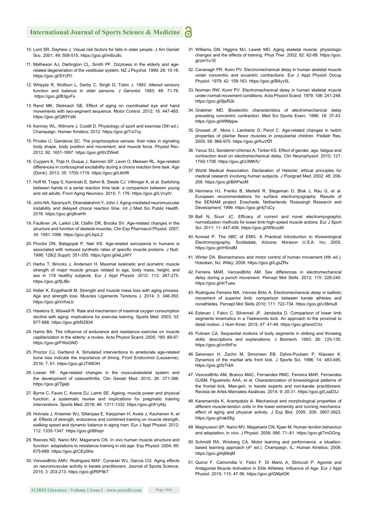# **International Journal of Sports Science & Medicine**

- 10. Lord SR, Dayhew J. Visual risk factors for falls in older people. J Am Geriatr Soc. 2001; 49: 508-515. https://goo.gl/m9zu8c
- 11. Matheson AJ, Darlington CL, Smith PF. Dizziness in the elderly and agerelated degeneration of the vestibular system. NZ J Psychol. 1999; 28: 10-16. https://goo.gl/SYzfYi
- 12. Whipple R, Wolfson L, Derby C, Singh D, Tobin J. 1993. Altered sensory function and balance in older persons. J Gerontol. 1993; 48: 71-76. https://goo.gl/B3gvFs
- 13. Rand MK, Stelmach GE. Effect of aging on coordinated eye and hand movements with two-segment sequence. Motor Control. 2012; 16: 447-465. https://goo.gl/Q85YaN
- 14. Kenney WL, Wilmore J, Costill D. Physiology of sport and exercise (5th ed.). Champaign: Human Kinetics; 2012. https://goo.gl/Yzi7cy
- 15. Proske U, Gandevia SC. The proprioceptive senses: their roles in signaling body shape, body position and movement, and muscle force. Physiol Rev. 2012; 92: 1651-1697. https://goo.gl/6VZWeK
- 16. Cuypers K, Thijs H, Duque J, Swinnen SP, Levin O, Meesen RL. Age-related differences in corticospinal excitability during a choice reaction time task. Age (Dordr). 2013; 35: 1705-1719. https://goo.gl/LtkHft
- 17. Hoff M, Trapp S, Kaminski E, Sehm B, Steele CJ, Villringer A, et al. Switching between hands in a serial reaction time task: a comparison between young and old adults. Front Aging Neurosci. 2015; 7: 176. https://goo.gl/LVcytV
- 18. John NA, Saranya K, Dhanalakshmi Y, John J. Aging-mediated neuromuscular instability and delayed choice reaction time. Int J Med Sci Public Health. 2016. https://goo.gl/q8veHh
- 19. Faulkner JA, Larkin LM, Claflin DR, Brooks SV. Age-related changes in the structure and function of skeletal muscles. Clin Exp Pharmacol Physiol. 2007; 34: 1091-1096. https://goo.gl/LfqoL2
- 20. Proctor DN, Balagopal P, Nair KS. Age-related sarcopenia in humans is associated with reduced synthetic rates of specific muscle proteins. J Nutr. 1998; 128(2 Suppl): 351-355. https://goo.gl/ieLpWY
- 21. Harbo T, Brincks J, Andersen H. Maximal isokinetic and isometric muscle strength of major muscle groups related to age, body mass, height, and sex in 178 healthy subjects. Eur J Appl Physiol. 2012; 112: 267-275. https://goo.gl/fjLtBv
- 22. Keller K, Engelhardt M. Strength and muscle mass loss with aging process. Age and strength loss. Muscles Ligaments Tendons J. 2014; 3: 346-350. https://goo.gl/xVhxLb
- 23. Hawkins S, Wiswell R. Rate and mechanism of maximal oxygen consumption decline with aging: implications for exercise training. Sports Med. 2003; 33: 877-888. https://goo.gl/bRZ834
- 24. Harris BA. The influence of endurance and resistance exercise on muscle capillarization in the elderly: a review. Acta Physiol Scand. 2005; 185: 89-97. https://goo.gl/FWsGND
- 25. Proctor CJ, Gartland A. Simulated interventions to ameliorate age-related bone loss indicate the importance of timing. Front Endocrinol (Lausanne). 2016; 7: 61. https://goo.gl/JTW63H
- 26. Loeser RF. Age-related changes in the musculoskeletal system and the development of osteoarthritis. Clin Geriatr Med. 2010; 26: 371-386. https://goo.gl/Tjjejb
- 27. Byrne C, Faure C, Keene DJ, Lamb SE. Ageing, muscle power and physical function: a systematic review and implications for pragmatic training interventions. Sports Med. 2016; 46: 1311-1332. https://goo.gl/A1yfdy
- 28. Holviala J, Kraemer WJ, Sillanpaa E, Karppinen H, Avela J, Kauhanen A, et al. Effects of strength, endurance and combined training on muscle strength, walking speed and dynamic balance in aging men. Eur J Appl Physiol. 2012; 112: 1335-1347. https://goo.gl/t6hspr
- 29. Reeves ND, Narici MV, Maganaris CN. In vivo human muscle structure and function: adaptations to resistance training in old age. Exp Physiol. 2004; 89: 675-689. https://goo.gl/CEp5Ke
- 30. VencesBrito AMV, Rodrigues MAF, Cynarski WJ, García CG. Aging effects on neuromuscular activity in karate practitioners. Journal of Sports Science. 2015; 3: 203-213. https://goo.gl/RtP9kT
- 31. Williams GN, Higgins MJ, Lewek MD. Aging skeletal muscle: physiologic changes and the effects of training. Phys Ther. 2002; 82: 62-68. https://goo. gl/zmYu1E
- 32. Cavanagh PR, Komi PV. Electromechanical delay in human skeletal muscle under concentric and eccentric contractions. Eur J Appl Physiol Occup Physiol. 1979; 42: 159-163. https://goo.gl/B4yv5L
- 33. Norman RW, Komi PV. Electromechanical delay in human skeletal muscle under normal movement conditions. Acta Physiol Scand. 1979; 106: 241-248. https://goo.gl/9jsR2k
- 34. Grabiner MD. Bioelectric characteristics of electromechanical delay preceding concentric contraction. Med Sci Sports Exerc. 1986; 18: 37-43. https://goo.gl/iWMppw
- 35. Grosset JF, Mora I, Lambertz D, Perot C. Age-related changes in twitch properties of plantar flexor muscles in prepubertal children. Pediatr Res. 2005; 58: 966-970. https://goo.gl/KuVfZf
- 36. Yavuz SU, Sendemir-Urkmez A, Türker KS. Effect of gender, age, fatigue and contraction level on electromechanical delay. Clin Neurophysiol. 2010; 121: 1700-1706. https://goo.gl/z3MKfU
- 37. World Medical Association. Declaration of Helsinki: ethical principles for medical research involving human subjects. J Postgrad Med. 2002; 48: 206- 208. https://goo.gl/BAPwzM
- 38. Hermens HJ, Freriks B, Merletti R, Stegeman D, Blok J, Rau G, et al. European recommendations for surface electromyography: Results of the SENIAM project. Enschede, Netherlands: Roessingh Research and Development; 1999. https://goo.gl/4jTsCy
- 39. Ball N, Scurr JC. Efficacy of current and novel electromyographic normalization methods for lower limb high-speed muscle actions. Eur J Sport Sci. 2011; 11: 447-456. https://goo.gl/W9czzM
- 40. Konrad P. The ABC of EMG. A Practical Introduction to Kinesiological Electromyography. Scottsdale, Arizona: Noraxon U.S.A. Inc; 2005. https://goo.gl/rHSndM
- 41. Winter DA. Biomechanics and motor control of human movement (4th ed.). Hoboken, NJ: Wiley; 2009. https://goo.gl/LgsZRx
- 42. Ferreira MAR, VencesBrito AM. Sex differences in electromechanical delay during a punch movement. Percept Mot Skills. 2012; 115: 228-240. https://goo.gl/4rTuea
- 43. Rodrigues Ferreira MA, Vences Brito A. Electromechanical delay in ballistic movement of superior limb: comparison between karate athletes and nonathletes. Percept Mot Skills 2010; 111: 722-734. https://goo.gl/v38mu8
- 44. Estevan I, Falco C, Silvernail JF, Jandacka D. Comparison of lower limb segments kinematics in a Taekwondo kick. An approach to the proximal to distal motion. J Hum Kinet. 2015; 47: 41-49. https://goo.gl/wxnCVz
- 45. Putnam CA. Sequential motions of body segments in striking and throwing skills: descriptions and explanations. J Biomech. 1993; 26: 125-135. https://goo.gl/vn5hFw
- 46. Sørensen H, Zacho M, Simonsen EB, Dyhre-Poulsen P, Klausen K. Dynamics of the martial arts front kick. J Sports Sci. 1996; 14: 483-495. https://goo.gl/fzTi4A
- 47. VencesBrito AM, Branco MAC, Fernandes RMC, Ferreira MAR, Fernandes OJSM, Figueiredo AAA, et al. Characterization of kinesiological patterns of the frontal kick, Mae-geri, in karate experts and non-karate practitioners. Revista de Artes Marciales Asiáticas. 2014; 9: 20-31. https://goo.gl/LxaD3J
- 48. Karamanidis K, Arampatzis A. Mechanical and morphological properties of different muscle-tendon units in the lower extremity and running mechanics: effect of aging and physical activity. J Exp Biol. 2005; 208: 3907-3923. https://goo.gl/rak56g
- 49. Magnusson SP, Narici MV, Maganaris CN, Kjaer M. Human tendon behaviour and adaptation, in vivo. J Physiol. 2008; 586: 71–81. https://goo.gl/7mGGng
- 50. Schmidt RA, Wrisberg CA. Motor learning and performance. a situationbased learning approach (4<sup>th</sup> ed.). Champaign, IL: Human Kinetics; 2008. https://goo.gl/kj66qM
- 51. Quinzi F, Camomilla V, Felici F, Di Mario A, Sbriccoli P. Agonist and Antagonist Muscle Activation in Elite Athletes: Influence of Age. Eur J Appl Physiol. 2015; 115: 47-56. https://goo.gl/GMptGK